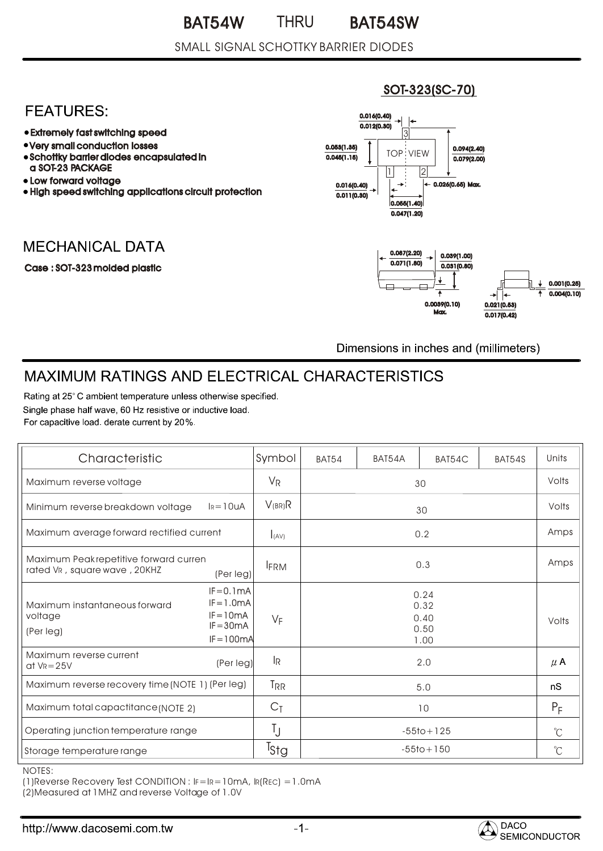### SMALL SIGNAL SCHOTTKY BARRIER DIODES

## **FEATURES:**

- Extremely fast switching speed
- Very small conduction losses
- Schottky barrier diodes encapsulated in a SOT-23 PACKAGE
- Low forward voltage
- High speed switching applications circuit protection

## **MECHANICAL DATA**

#### Case : SOT-323 molded plastic



SOT-323(SC-70)

Dimensions in inches and (millimeters)

# **MAXIMUM RATINGS AND ELECTRICAL CHARACTERISTICS**

Rating at 25° C ambient temperature unless otherwise specified. Single phase half wave, 60 Hz resistive or inductive load. For capacitive load, derate current by 20%.

| Characteristic                                                         |                                                                            | Symbol           | <b>BAT54</b>   | BAT54A | BAT54C                               | BAT54S | Units   |
|------------------------------------------------------------------------|----------------------------------------------------------------------------|------------------|----------------|--------|--------------------------------------|--------|---------|
| Maximum reverse voltage                                                |                                                                            | $V_{\mathsf{R}}$ | 30             |        |                                      | Volts  |         |
| $I_R = 10uA$<br>Minimum reverse breakdown voltage                      |                                                                            | $V_{(BR)}R$      | 30             |        |                                      | Volts  |         |
| Maximum average forward rectified current                              |                                                                            | I(AV)            | 0.2            |        |                                      | Amps   |         |
| Maximum Peak repetitive forward curren<br>rated VR, square wave, 20KHZ | (Per leg)                                                                  | <b>FRM</b>       | 0.3            |        |                                      | Amps   |         |
| Maximum instantaneous forward<br>voltage<br>(Per leg)                  | $IF = 0.1mA$<br>$IF = 1.0mA$<br>$IF = 10mA$<br>$IF = 30mA$<br>$IF = 100mA$ | VF               |                |        | 0.24<br>0.32<br>0.40<br>0.50<br>1.00 |        | Volts   |
| Maximum reverse current<br>$at$ VR = 25V                               | (Per leg)                                                                  | l <sub>R</sub>   |                |        | 2.0                                  |        | $\mu$ A |
| Maximum reverse recovery time (NOTE 1) (Per leg)                       |                                                                            | T <sub>RR</sub>  | 5.0            |        | nS                                   |        |         |
| Maximum total capactitance (NOTE 2)                                    |                                                                            | $C_{\bar{1}}$    | 10             |        | $P_F$                                |        |         |
| Operating junction temperature range                                   |                                                                            | Ţ                | $-55$ to + 125 |        | $^{\circ}C$                          |        |         |
| Storage temperature range                                              |                                                                            | Tstg             | $-55$ to + 150 |        | $^{\circ}$ C                         |        |         |

NOTES:

(1)Reverse Recovery Test CONDITION : IF=IR=10mA, IR(REC) =1.0mA

(2)Measured at 1MHZ and reverse Voltage of 1.0V

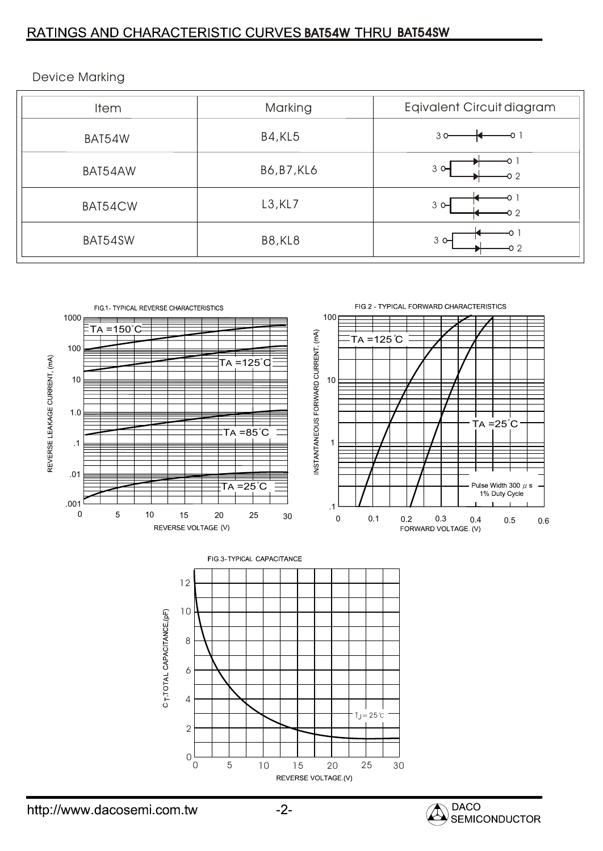### RATINGS AND CHARACTERISTIC CURVES BAT54W THRU BAT54SW

| <b>Item</b> | Marking            | Eqivalent Circuit diagram     |  |  |
|-------------|--------------------|-------------------------------|--|--|
| BAT54W      | <b>B4, KL5</b>     | 30                            |  |  |
| BAT54AW     | <b>B6, B7, KL6</b> | $3^\circ$<br><del>-</del> 0 2 |  |  |
| BAT54CW     | $L3$ , KL7         | $3^\circ$<br>-0 2             |  |  |
| BAT54SW     | <b>B8, KL8</b>     | $3^{\circ}$<br>-0 2           |  |  |



Device Marking